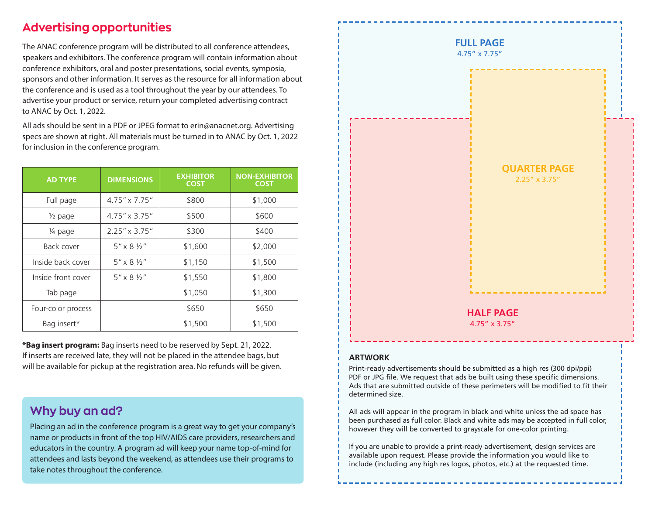### $\Lambda$ dvorticing opportunities speakers and exhibitors. The conference program will contain information about **Advertising opportunities** Advertising opportunities

The ANAC conference program will be distributed to all conference attendees,  $\sum_{i=1}^{n}$  sponsors and  $\sum_{i=1}^{n}$  serves and  $\sum_{i=1}^{n}$  and  $\sum_{i=1}^{n}$  are solved about  $\sum_{i=1}^{n}$ speakers and exhibitors. The conference program will contain information about conference exhibitors, oral and poster presentations, social events, symposia,<br>sponsors and other information. It serves as the resource for all information about ANAC by Oct. 1, 2021. the conference and is used as a tool throughout the year by our attendees. To advertise your product or service, return your completed advertising contract  $\frac{1}{2}$  to ANAC by Oct. 1, 2022. conference exhibitors, oral and poster presentations, social events, symposia, the conference exhibitors, oral and poster presentations, social events, symposia, the conservation and internation and the serves as the resource for all information at

2021 for inclusion in conference program. All ads should be sent in a PDF or JPEG format to erin@anacnet.org. Advertising All ads should be sent in a PDF or JPEG format to erin@anacnet.org. Advertising specs are shown at right. All materials must be turned in to ANAC by Oct. 1, 2022 specs are shown at right. An materials must be turned in to ANAC by Oct. 1, 20<br>for inclusion in the conference program. be available for pick-up at the registration area. No refunds will be given.

| <b>AD TYPE</b>     | <b>DIMENSIONS</b>          | <b>EXHIBITOR</b><br><b>COST</b> | <b>NON-EXHIBITOR</b><br><b>COST</b> |
|--------------------|----------------------------|---------------------------------|-------------------------------------|
| Full page          | 4.75" x 7.75"              | \$800                           | \$1,000                             |
| $\frac{1}{2}$ page | $4.75'' \times 3.75''$     | \$500                           | \$600                               |
| 1/4 page           | $2.25'' \times 3.75''$     | \$300                           | \$400                               |
| Back cover         | $5'' \times 8 \%$          | \$1,600                         | \$2,000                             |
| Inside back cover  | $5'' \times 8 \%$          | \$1,150                         | \$1,500                             |
| Inside front cover | $5'' \times 8 \frac{1}{2}$ | \$1,550                         | \$1,800                             |
| Tab page           |                            | \$1,050                         | \$1,300                             |
| Four-color process |                            | \$650                           | \$650                               |
| Bag insert*        |                            | \$1,500                         | \$1,500                             |

If inserts are received late, they will not be placed in the attendee bags, but will be available for pickup at the registration area. No refunds will be given. \***Bag insert program:** Bag inserts need to be reserved by Sept. 21, 2022.

#### $t_{\rm{max}}$  care, order care, often without recognition. The company of  $\sigma_{\rm{max}}$ **Why buy an ad?** In general. Anac members work in a variety of clinical, and clinical, and clinical, and

Placing an ad in the conference program is a great way to get your company's name or products in front of the top HIV/AIDS care providers, researchers and educators in the country. A program ad will keep your name top-of-mind for attendees and lasts beyond the weekend, as attendees use their programs to take notes throughout the conference.

research and academic settings, delivering or contributing



## **PDF or ARTWORK** *ARTWORK*

Int-ready advertisements should be submitted as a high res (300 dpi/ppi) Particulary devertisements should be submitted as a highlies (500 up/ppi).<br>PDF or JPG file. We request that ads be built using these specific dimensions. Ads that are submitted outside of these perimeters will be modified to fit their  $\frac{1}{2}$  $\mathbf b$  between purchased as full color,  $\mathbf b$  and  $\mathbf c$ ,  $\mathbf b$  and  $\mathbf c$ ,  $\mathbf b$  and  $\mathbf c$ ,  $\mathbf b$ determined size.

All ads will appear in the program in black and white unless the ad space has If your partners as fair color. Diack and write austriay be accepted in fair however they will be converted to grayscale for one-color printing. been purchased as full color. Black and white ads may be accepted in full color,

*5*

including any high rese.)<br>In the vou are unable to provide a print-ready advertisement, design services are available upon request. Please provide the information you would like to include (including any high res logos, photos, etc.) at the requested time.